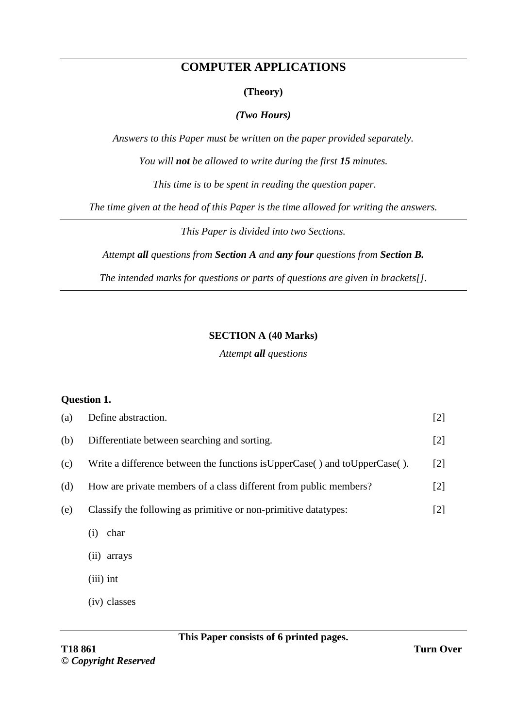# **COMPUTER APPLICATIONS**

#### **(Theory)**

#### *(Two Hours)*

*Answers to this Paper must be written on the paper provided separately.*

*You will not be allowed to write during the first 15 minutes.*

*This time is to be spent in reading the question paper.*

*The time given at the head of this Paper is the time allowed for writing the answers.*

*This Paper is divided into two Sections.*

*Attempt all questions from Section A and any four questions from Section B.*

*The intended marks for questions or parts of questions are given in brackets[].*

#### **SECTION A (40 Marks)**

*Attempt all questions*

#### **Question 1.**

| (a) | Define abstraction.                                                           | $[2]$ |
|-----|-------------------------------------------------------------------------------|-------|
| (b) | Differentiate between searching and sorting.                                  | [2]   |
| (c) | Write a difference between the functions is UpperCase () and to UpperCase (). | $[2]$ |
| (d) | How are private members of a class different from public members?             | $[2]$ |
| (e) | Classify the following as primitive or non-primitive datatypes:               | [2]   |
|     | char<br>(i)                                                                   |       |
|     | arrays<br>(11)                                                                |       |
|     | $(iii)$ int                                                                   |       |
|     | (iv) classes                                                                  |       |

#### **This Paper consists of 6 printed pages.**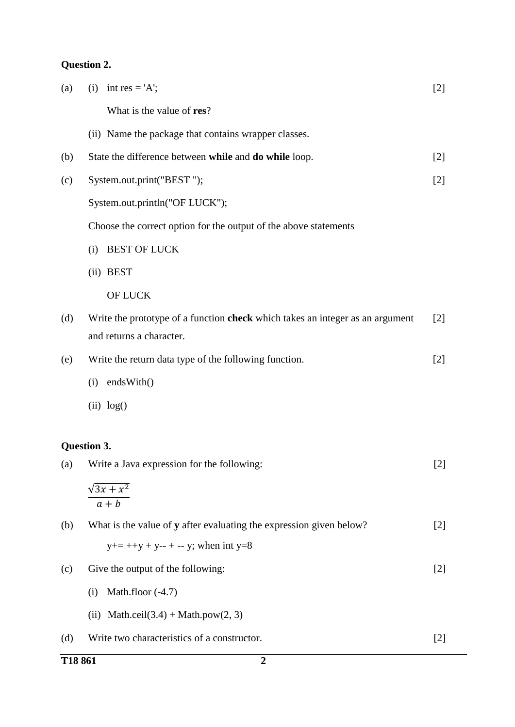# **Question 2.**

| T18861 | $\overline{2}$                                                                |       |
|--------|-------------------------------------------------------------------------------|-------|
| (d)    | Write two characteristics of a constructor.                                   | $[2]$ |
|        | (ii) Math.ceil $(3.4)$ + Math.pow $(2, 3)$                                    |       |
|        | Math.floor (-4.7)<br>(i)                                                      |       |
| (c)    | Give the output of the following:                                             | $[2]$ |
|        | $y+=++y+y--+-y$ ; when int y=8                                                |       |
| (b)    | What is the value of y after evaluating the expression given below?           | $[2]$ |
|        | $a + b$                                                                       |       |
|        | $\sqrt{3x+x^2}$                                                               |       |
| (a)    | Question 3.<br>Write a Java expression for the following:                     |       |
|        |                                                                               |       |
|        | (ii) log()                                                                    |       |
|        | endsWith()<br>(i)                                                             |       |
| (e)    | Write the return data type of the following function.                         | $[2]$ |
|        | and returns a character.                                                      |       |
| (d)    | Write the prototype of a function check which takes an integer as an argument | $[2]$ |
|        | <b>OF LUCK</b>                                                                |       |
|        | (ii) BEST                                                                     |       |
|        | <b>BEST OF LUCK</b><br>(i)                                                    |       |
|        | Choose the correct option for the output of the above statements              |       |
|        | System.out.println("OF LUCK");                                                |       |
| (c)    | System.out.print("BEST");                                                     |       |
| (b)    | State the difference between while and do while loop.                         | $[2]$ |
|        | (ii) Name the package that contains wrapper classes.                          |       |
|        | What is the value of res?                                                     |       |
| (a)    | int res = $'A$ ;<br>(i)                                                       | $[2]$ |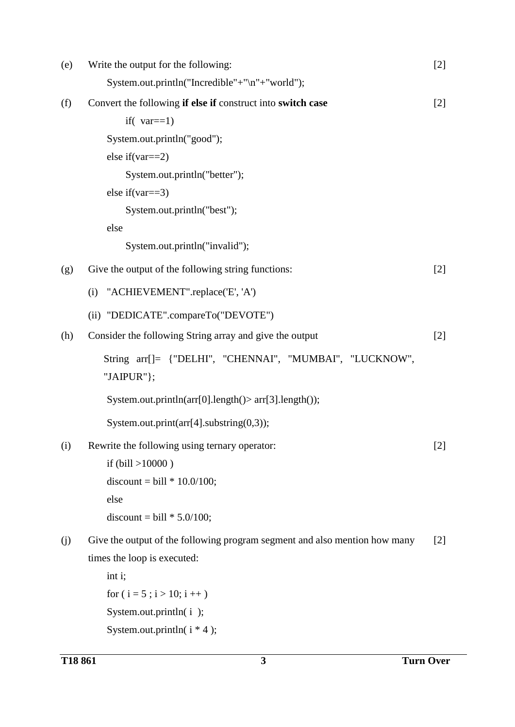| (e) | Write the output for the following:                                        | $[2]$ |
|-----|----------------------------------------------------------------------------|-------|
|     | System.out.println("Incredible"+"\n"+"world");                             |       |
| (f) | Convert the following if else if construct into switch case                | $[2]$ |
|     | if( $var==1$ )                                                             |       |
|     | System.out.println("good");                                                |       |
|     | else if $\varphi$ ==2)                                                     |       |
|     | System.out.println("better");                                              |       |
|     | else if $(var==3)$                                                         |       |
|     | System.out.println("best");                                                |       |
|     | else                                                                       |       |
|     | System.out.println("invalid");                                             |       |
| (g) | Give the output of the following string functions:                         | $[2]$ |
|     | "ACHIEVEMENT".replace('E', 'A')<br>(i)                                     |       |
|     | (ii) "DEDICATE".compareTo("DEVOTE")                                        |       |
| (h) | Consider the following String array and give the output                    | $[2]$ |
|     | String arr[]= {"DELHI", "CHENNAI", "MUMBAI", "LUCKNOW",<br>"JAIPUR"};      |       |
|     | System.out.println(arr[0].length()> arr[3].length());                      |       |
|     | System.out.print(arr[4].substring(0,3));                                   |       |
| (i) | Rewrite the following using ternary operator:                              | $[2]$ |
|     | if $(bill > 10000)$                                                        |       |
|     | discount = bill $* 10.0/100$ ;                                             |       |
|     | else                                                                       |       |
|     | discount = bill $* 5.0/100$ ;                                              |       |
| (j) | Give the output of the following program segment and also mention how many | $[2]$ |
|     | times the loop is executed:                                                |       |
|     | int i;                                                                     |       |
|     | for $(i = 5 ; i > 10; i++)$                                                |       |
|     | System.out.println(i);                                                     |       |
|     | System.out.println( $i * 4$ );                                             |       |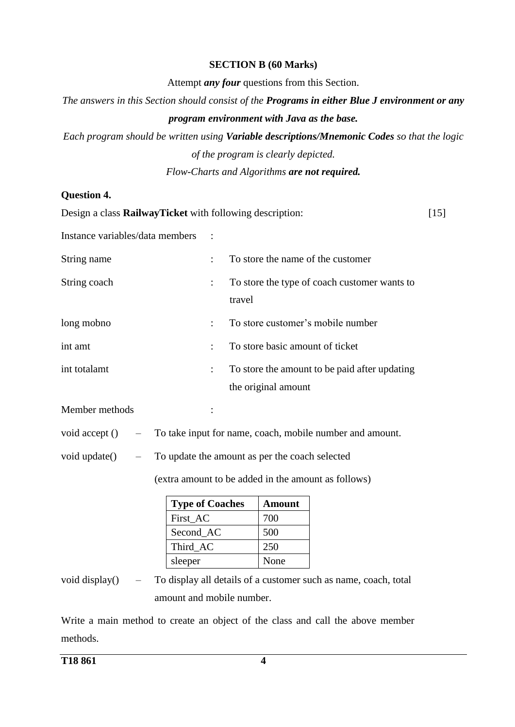#### **SECTION B (60 Marks)**

Attempt *any four* questions from this Section.

*The answers in this Section should consist of the Programs in either Blue J environment or any program environment with Java as the base.*

*Each program should be written using Variable descriptions/Mnemonic Codes so that the logic of the program is clearly depicted.* 

*Flow-Charts and Algorithms are not required.*

## **Question 4.**

Design a class **RailwayTicket** with following description: Instance variables/data members : String name : To store the name of the customer String coach : To store the type of coach customer wants to travel long mobno : To store customer's mobile number int amt : To store basic amount of ticket int totalamt : To store the amount to be paid after updating the original amount Member methods : void accept () – To take input for name, coach, mobile number and amount. void update() – To update the amount as per the coach selected (extra amount to be added in the amount as follows) **Type of Coaches Amount** First AC 700 Second AC 500 Third AC 250 sleeper None [15]

void display() – To display all details of a customer such as name, coach, total amount and mobile number.

Write a main method to create an object of the class and call the above member methods.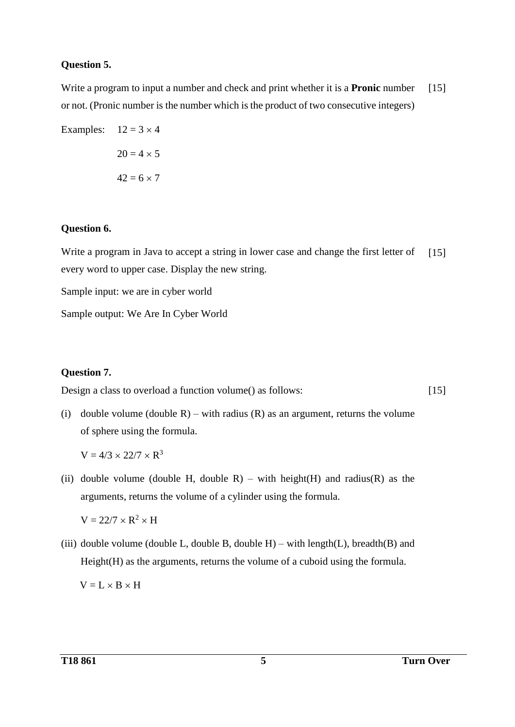#### **Question 5.**

Write a program to input a number and check and print whether it is a **Pronic** number or not. (Pronic number is the number which is the product of two consecutive integers) [15]

Examples:  $12 = 3 \times 4$  $20 = 4 \times 5$  $42 = 6 \times 7$ 

#### **Question 6.**

Write a program in Java to accept a string in lower case and change the first letter of every word to upper case. Display the new string.  $[15]$ 

Sample input: we are in cyber world

Sample output: We Are In Cyber World

## **Question 7.**

Design a class to overload a function volume() as follows:

 $[15]$ 

(i) double volume (double R) – with radius (R) as an argument, returns the volume of sphere using the formula.

 $V = 4/3 \times 22/7 \times R^3$ 

(ii) double volume (double H, double R) – with height(H) and radius(R) as the arguments, returns the volume of a cylinder using the formula.

 $V = 22/7 \times R^2 \times H$ 

(iii) double volume (double L, double B, double H) – with length(L), breadth(B) and Height(H) as the arguments, returns the volume of a cuboid using the formula.

 $V = L \times B \times H$